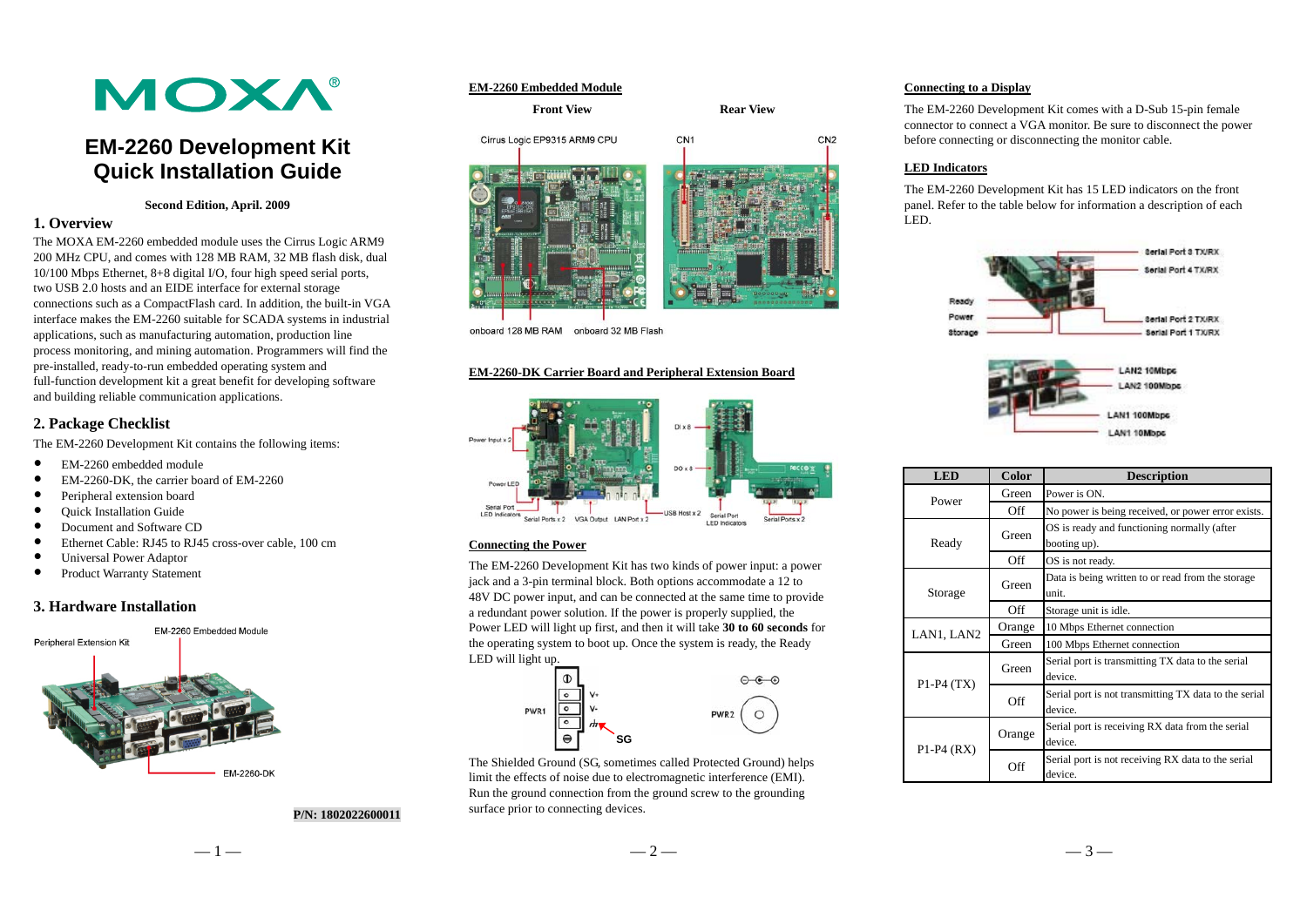# **MOXA®**

# **EM-2260 Development Kit Quick Installation Guide**

#### **Second Edition, April. 2009**

# **1. Overview**

The MOXA EM-2260 embedded module uses the Cirrus Logic ARM9 200 MHz CPU, and comes with 128 MB RAM, 32 MB flash disk, dual 10/100 Mbps Ethernet, 8+8 digital I/O, four high speed serial ports, two USB 2.0 hosts and an EIDE interface for external storage connections such as a CompactFlash card. In addition, the built-in VGA interface makes the EM-2260 suitable for SCADA systems in industrial applications, such as manufacturing automation, production line process monitoring, and mining automation. Programmers will find the pre-installed, ready-to-run embedded operating system and full-function development kit a great benefit for developing software and building reliable communication applications.

# **2. Package Checklist**

The EM-2260 Development Kit contains the following items:

- $\bullet$ EM-2260 embedded module
- $\bullet$ EM-2260-DK, the carrier board of EM-2260
- $\bullet$ Peripheral extension board
- $\bullet$ Quick Installation Guide
- $\bullet$ Document and Software CD
- $\bullet$ Ethernet Cable: RJ45 to RJ45 cross-over cable, 100 cm
- $\bullet$ Universal Power Adaptor
- $\bullet$ Product Warranty Statement

# **3. Hardware Installation**



#### **P/N: 1802022600011**



**Front View Rear View Rear View** 



onboard 128 MB RAM onboard 32 MB Flash

#### **EM-2260-DK Carrier Board and Peripheral Extension Board**



#### **Connecting the Power**

The EM-2260 Development Kit has two kinds of power input: a power jack and a 3-pin terminal block. Both options accommodate a 12 to 48V DC power input, and can be connected at the same time to provide a redundant power solution. If the power is properly supplied, the Power LED will light up first, and then it will take **30 to 60 seconds** for the operating system to boot up. Once the system is ready, the Ready LED will light up.



The Shielded Ground (SG, sometimes called Protected Ground) helps limit the effects of noise due to electromagnetic interference (EMI). Run the ground connection from the ground screw to the grounding surface prior to connecting devices.

#### **Connecting to a Display**

The EM-2260 Development Kit comes with a D-Sub 15-pin female connector to connect a VGA monitor. Be sure to disconnect the power before connecting or disconnecting the monitor cable.

## **LED Indicators**

The EM-2260 Development Kit has 15 LED indicators on the front panel. Refer to the table below for information a description of each LED.





| <b>LED</b>     | <b>Color</b> | <b>Description</b>                                               |  |
|----------------|--------------|------------------------------------------------------------------|--|
| Power          | Green        | Power is ON.                                                     |  |
|                | Off          | No power is being received, or power error exists.               |  |
| Ready          | Green        | OS is ready and functioning normally (after<br>booting up).      |  |
|                | Off          | OS is not ready.                                                 |  |
| Storage        | Green        | Data is being written to or read from the storage<br>unit.       |  |
|                | Off          | Storage unit is idle.                                            |  |
| LAN1, LAN2     | Orange       | 10 Mbps Ethernet connection                                      |  |
|                | Green        | 100 Mbps Ethernet connection                                     |  |
| $P1-P4(TX)$    | Green        | Serial port is transmitting TX data to the serial<br>device.     |  |
|                | Off          | Serial port is not transmitting TX data to the serial<br>device. |  |
| $P1-P4$ $(RX)$ | Orange       | Serial port is receiving RX data from the serial<br>device.      |  |
|                | Off          | Serial port is not receiving RX data to the serial<br>device.    |  |